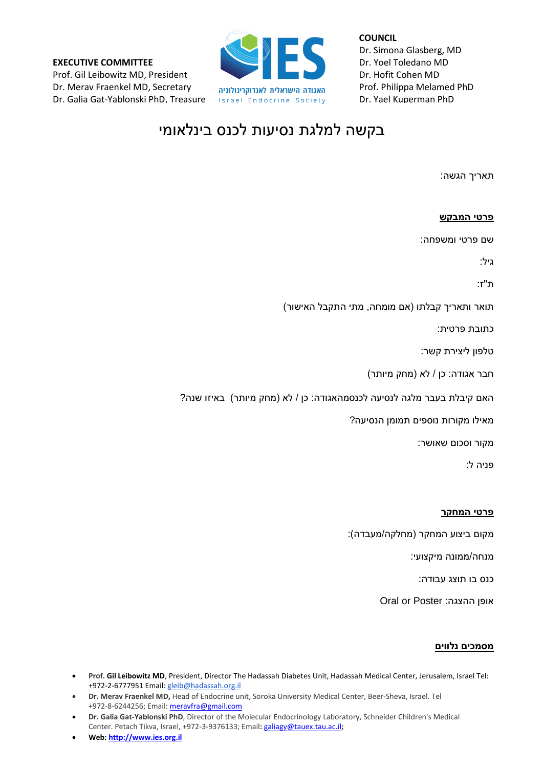**EXECUTIVE COMMITTEE** Prof. Gil Leibowitz MD, President Dr. Merav Fraenkel MD, Secretary Dr. Galia Gat-Yablonski PhD, Treasure



**COUNCIL** Dr. Simona Glasberg, MD Dr. Yoel Toledano MD Dr. Hofit Cohen MD Prof. Philippa Melamed PhD Dr. Yael Kuperman PhD

## בקשה למלגת נסיעות לכנס בינלאומי

תאריך הגשה:

| <u>פרטי המבקש</u>                                                      |
|------------------------------------------------------------------------|
| שם פרטי ומשפחה:                                                        |
| גיל:                                                                   |
| ת"ז:                                                                   |
| תואר ותאריך קבלתו (אם מומחה, מתי התקבל האישור)                         |
| כתובת פרטית:                                                           |
| טלפון ליצירת קשר:                                                      |
| חבר אגודה: כן / לא (מחק מיותר)                                         |
| האם קיבלת בעבר מלגה לנסיעה לכנסמהאגודה: כן / לא (מחק מיותר) באיזו שנה? |
| מאילו מקורות נוספים תמומן הנסיעה?                                      |
| מקור וסכום שאושר:                                                      |
| פניה ל:                                                                |
|                                                                        |
| <u>פרטי המחקר</u>                                                      |
| . / _ __ . /_ _L _  \ _ .                                              |

מקום ביצוע המחקר (מחלקה/מעבדה):

מנחה/ממונה מיקצועי:

כנס בו תוצג עבודה:

Oral or Poster :ההצגה אופן

## **מסמכים נלווים**

- **Prof. Gil Leibowitz MD**, President, Director The Hadassah Diabetes Unit, Hadassah Medical Center, Jerusalem, Israel Tel: +972-2-6777951 Email: [gleib@hadassah.org.il](mailto:gleib@hadassah.org.il)
- **Dr. Merav Fraenkel MD,** Head of Endocrine unit, Soroka University Medical Center, Beer-Sheva, Israel. Tel +972-8-6244256; Email: [meravfra@gmail.com](mailto:meravfra@gmail.com)
- **Dr. Galia Gat-Yablonski PhD**, Director of the Molecular Endocrinology Laboratory, Schneider Children's Medical Center. Petach Tikva, Israel, +972-3-9376133; Email**:** [galiagy@tauex.tau.ac.il](mailto:galiagy@tauex.tau.ac.il)**;**
- **Web[: http://www.ies.org.il](http://www.ies.org.il/)**